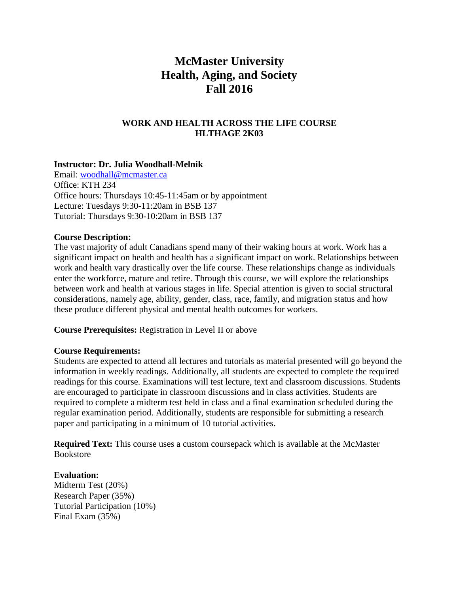# **McMaster University Health, Aging, and Society Fall 2016**

# **WORK AND HEALTH ACROSS THE LIFE COURSE HLTHAGE 2K03**

## **Instructor: Dr. Julia Woodhall-Melnik**

Email: woodhall@mcmaster.ca Office: KTH 234 Office hours: Thursdays 10:45-11:45am or by appointment Lecture: Tuesdays 9:30-11:20am in BSB 137 Tutorial: Thursdays 9:30-10:20am in BSB 137

#### **Course Description:**

The vast majority of adult Canadians spend many of their waking hours at work. Work has a significant impact on health and health has a significant impact on work. Relationships between work and health vary drastically over the life course. These relationships change as individuals enter the workforce, mature and retire. Through this course, we will explore the relationships between work and health at various stages in life. Special attention is given to social structural considerations, namely age, ability, gender, class, race, family, and migration status and how these produce different physical and mental health outcomes for workers.

**Course Prerequisites:** Registration in Level II or above

#### **Course Requirements:**

Students are expected to attend all lectures and tutorials as material presented will go beyond the information in weekly readings. Additionally, all students are expected to complete the required readings for this course. Examinations will test lecture, text and classroom discussions. Students are encouraged to participate in classroom discussions and in class activities. Students are required to complete a midterm test held in class and a final examination scheduled during the regular examination period. Additionally, students are responsible for submitting a research paper and participating in a minimum of 10 tutorial activities.

**Required Text:** This course uses a custom coursepack which is available at the McMaster Bookstore

#### **Evaluation:**

Midterm Test (20%) Research Paper (35%) Tutorial Participation (10%) Final Exam (35%)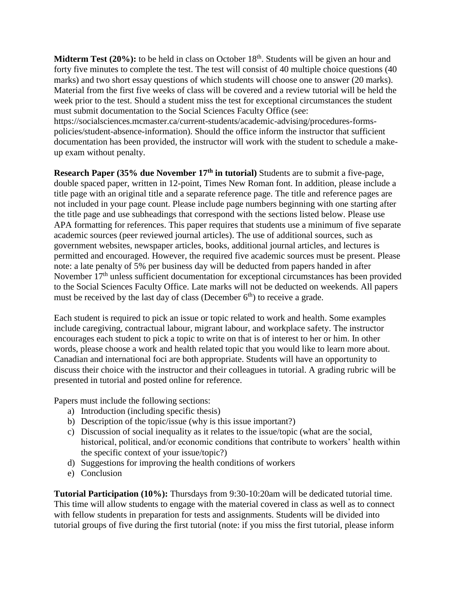**Midterm Test (20%):** to be held in class on October 18<sup>th</sup>. Students will be given an hour and forty five minutes to complete the test. The test will consist of 40 multiple choice questions (40 marks) and two short essay questions of which students will choose one to answer (20 marks). Material from the first five weeks of class will be covered and a review tutorial will be held the week prior to the test. Should a student miss the test for exceptional circumstances the student must submit documentation to the Social Sciences Faculty Office (see: https://socialsciences.mcmaster.ca/current-students/academic-advising/procedures-forms-

policies/student-absence-information). Should the office inform the instructor that sufficient documentation has been provided, the instructor will work with the student to schedule a makeup exam without penalty.

**Research Paper (35% due November 17th in tutorial)** Students are to submit a five-page, double spaced paper, written in 12-point, Times New Roman font. In addition, please include a title page with an original title and a separate reference page. The title and reference pages are not included in your page count. Please include page numbers beginning with one starting after the title page and use subheadings that correspond with the sections listed below. Please use APA formatting for references. This paper requires that students use a minimum of five separate academic sources (peer reviewed journal articles). The use of additional sources, such as government websites, newspaper articles, books, additional journal articles, and lectures is permitted and encouraged. However, the required five academic sources must be present. Please note: a late penalty of 5% per business day will be deducted from papers handed in after November 17<sup>th</sup> unless sufficient documentation for exceptional circumstances has been provided to the Social Sciences Faculty Office. Late marks will not be deducted on weekends. All papers must be received by the last day of class (December  $6<sup>th</sup>$ ) to receive a grade.

Each student is required to pick an issue or topic related to work and health. Some examples include caregiving, contractual labour, migrant labour, and workplace safety. The instructor encourages each student to pick a topic to write on that is of interest to her or him. In other words, please choose a work and health related topic that you would like to learn more about. Canadian and international foci are both appropriate. Students will have an opportunity to discuss their choice with the instructor and their colleagues in tutorial. A grading rubric will be presented in tutorial and posted online for reference.

Papers must include the following sections:

- a) Introduction (including specific thesis)
- b) Description of the topic/issue (why is this issue important?)
- c) Discussion of social inequality as it relates to the issue/topic (what are the social, historical, political, and/or economic conditions that contribute to workers' health within the specific context of your issue/topic?)
- d) Suggestions for improving the health conditions of workers
- e) Conclusion

**Tutorial Participation (10%):** Thursdays from 9:30-10:20am will be dedicated tutorial time. This time will allow students to engage with the material covered in class as well as to connect with fellow students in preparation for tests and assignments. Students will be divided into tutorial groups of five during the first tutorial (note: if you miss the first tutorial, please inform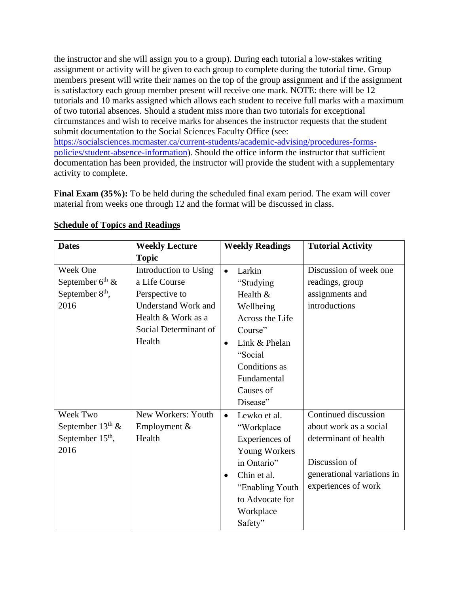the instructor and she will assign you to a group). During each tutorial a low-stakes writing assignment or activity will be given to each group to complete during the tutorial time. Group members present will write their names on the top of the group assignment and if the assignment is satisfactory each group member present will receive one mark. NOTE: there will be 12 tutorials and 10 marks assigned which allows each student to receive full marks with a maximum of two tutorial absences. Should a student miss more than two tutorials for exceptional circumstances and wish to receive marks for absences the instructor requests that the student submit documentation to the Social Sciences Faculty Office (see: [https://socialsciences.mcmaster.ca/current-students/academic-advising/procedures-forms-](https://socialsciences.mcmaster.ca/current-students/academic-advising/procedures-forms-policies/student-absence-information)

[policies/student-absence-information\)](https://socialsciences.mcmaster.ca/current-students/academic-advising/procedures-forms-policies/student-absence-information). Should the office inform the instructor that sufficient documentation has been provided, the instructor will provide the student with a supplementary activity to complete.

**Final Exam (35%):** To be held during the scheduled final exam period. The exam will cover material from weeks one through 12 and the format will be discussed in class.

| <b>Dates</b>                | <b>Weekly Lecture</b>      |           | <b>Weekly Readings</b> | <b>Tutorial Activity</b>   |
|-----------------------------|----------------------------|-----------|------------------------|----------------------------|
|                             | <b>Topic</b>               |           |                        |                            |
| Week One                    | Introduction to Using      | $\bullet$ | Larkin                 | Discussion of week one     |
| September $6th$ &           | a Life Course              |           | "Studying              | readings, group            |
| September 8 <sup>th</sup> , | Perspective to             |           | Health &               | assignments and            |
| 2016                        | <b>Understand Work and</b> |           | Wellbeing              | introductions              |
|                             | Health & Work as a         |           | Across the Life        |                            |
|                             | Social Determinant of      |           | Course"                |                            |
|                             | Health                     | $\bullet$ | Link & Phelan          |                            |
|                             |                            |           | "Social                |                            |
|                             |                            |           | Conditions as          |                            |
|                             |                            |           | Fundamental            |                            |
|                             |                            |           | Causes of              |                            |
|                             |                            |           | Disease"               |                            |
| Week Two                    | New Workers: Youth         | $\bullet$ | Lewko et al.           | Continued discussion       |
| September $13th$ &          | Employment &               |           | "Workplace             | about work as a social     |
| September $15th$ ,          | Health                     |           | Experiences of         | determinant of health      |
| 2016                        |                            |           | Young Workers          |                            |
|                             |                            |           | in Ontario"            | Discussion of              |
|                             |                            | $\bullet$ | Chin et al.            | generational variations in |
|                             |                            |           | "Enabling Youth        | experiences of work        |
|                             |                            |           | to Advocate for        |                            |
|                             |                            |           | Workplace              |                            |
|                             |                            |           | Safety"                |                            |

## **Schedule of Topics and Readings**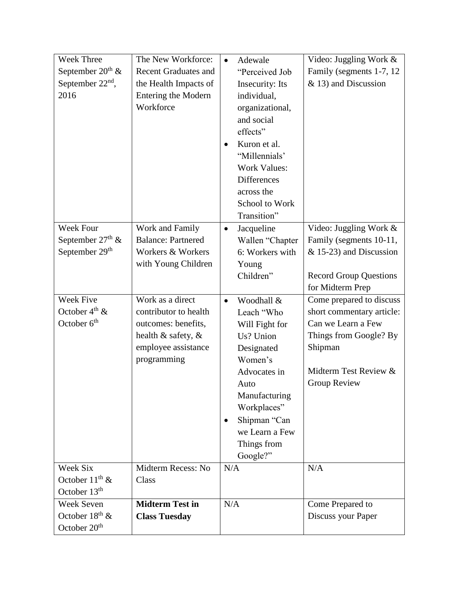| Week Three                   | The New Workforce:          | Adewale<br>$\bullet$      | Video: Juggling Work &        |
|------------------------------|-----------------------------|---------------------------|-------------------------------|
| September $20th$ &           | <b>Recent Graduates and</b> | "Perceived Job            | Family (segments 1-7, 12)     |
| September 22 <sup>nd</sup> , | the Health Impacts of       | <b>Insecurity:</b> Its    | & 13) and Discussion          |
| 2016                         | Entering the Modern         | individual,               |                               |
|                              | Workforce                   | organizational,           |                               |
|                              |                             | and social                |                               |
|                              |                             | effects"                  |                               |
|                              |                             | Kuron et al.<br>$\bullet$ |                               |
|                              |                             | "Millennials"             |                               |
|                              |                             | <b>Work Values:</b>       |                               |
|                              |                             | <b>Differences</b>        |                               |
|                              |                             | across the                |                               |
|                              |                             | School to Work            |                               |
|                              |                             | Transition"               |                               |
| <b>Week Four</b>             | Work and Family             | Jacqueline<br>$\bullet$   | Video: Juggling Work &        |
| September $27th$ &           | <b>Balance: Partnered</b>   | Wallen "Chapter           | Family (segments 10-11,       |
| September 29 <sup>th</sup>   | Workers & Workers           | 6: Workers with           | $& 15-23$ and Discussion      |
|                              | with Young Children         | Young                     |                               |
|                              |                             | Children"                 | <b>Record Group Questions</b> |
|                              |                             |                           | for Midterm Prep              |
| Week Five                    | Work as a direct            | Woodhall &<br>$\bullet$   | Come prepared to discuss      |
| October $4^{\text{th}}$ &    | contributor to health       | Leach "Who                | short commentary article:     |
| October $6th$                | outcomes: benefits,         | Will Fight for            | Can we Learn a Few            |
|                              | health & safety, &          | Us? Union                 | Things from Google? By        |
|                              | employee assistance         | Designated                | Shipman                       |
|                              | programming                 | Women's                   |                               |
|                              |                             | Advocates in              | Midterm Test Review &         |
|                              |                             | Auto                      | <b>Group Review</b>           |
|                              |                             | Manufacturing             |                               |
|                              |                             | Workplaces"               |                               |
|                              |                             | Shipman "Can<br>$\bullet$ |                               |
|                              |                             | we Learn a Few            |                               |
|                              |                             | Things from               |                               |
|                              |                             | Google?"                  |                               |
| Week Six                     | Midterm Recess: No          | N/A                       | N/A                           |
| October $11^{th}$ &          | Class                       |                           |                               |
| October 13 <sup>th</sup>     |                             |                           |                               |
| <b>Week Seven</b>            | <b>Midterm Test in</b>      | N/A                       | Come Prepared to              |
| October $18^{\text{th}}$ &   | <b>Class Tuesday</b>        |                           | Discuss your Paper            |
| October 20 <sup>th</sup>     |                             |                           |                               |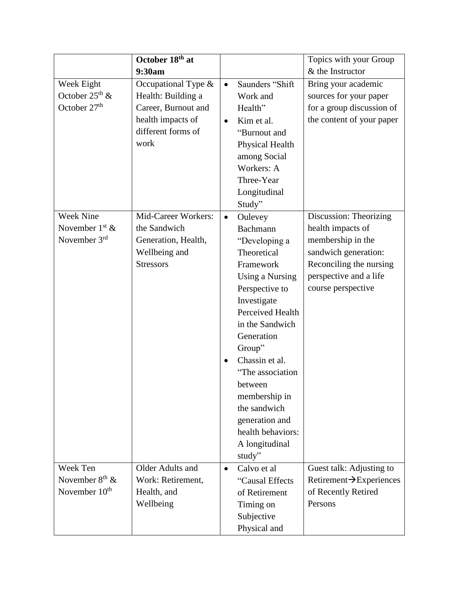|                                                               | October 18th at                                                                                                        |                        |                                                                                                                                                                                                                                                                                                                                                 | Topics with your Group                                                                                                                                              |
|---------------------------------------------------------------|------------------------------------------------------------------------------------------------------------------------|------------------------|-------------------------------------------------------------------------------------------------------------------------------------------------------------------------------------------------------------------------------------------------------------------------------------------------------------------------------------------------|---------------------------------------------------------------------------------------------------------------------------------------------------------------------|
|                                                               | 9:30am                                                                                                                 |                        |                                                                                                                                                                                                                                                                                                                                                 | & the Instructor                                                                                                                                                    |
| Week Eight<br>October $25^{th}$ &<br>October 27 <sup>th</sup> | Occupational Type $\&$<br>Health: Building a<br>Career, Burnout and<br>health impacts of<br>different forms of<br>work | $\bullet$<br>$\bullet$ | Saunders "Shift<br>Work and<br>Health"<br>Kim et al.<br>"Burnout and<br>Physical Health<br>among Social<br>Workers: A<br>Three-Year<br>Longitudinal<br>Study"                                                                                                                                                                                   | Bring your academic<br>sources for your paper<br>for a group discussion of<br>the content of your paper                                                             |
| <b>Week Nine</b><br>November $1st$ &<br>November $3rd$        | Mid-Career Workers:<br>the Sandwich<br>Generation, Health,<br>Wellbeing and<br><b>Stressors</b>                        | $\bullet$<br>$\bullet$ | Oulevey<br>Bachmann<br>"Developing a<br>Theoretical<br>Framework<br><b>Using a Nursing</b><br>Perspective to<br>Investigate<br>Perceived Health<br>in the Sandwich<br>Generation<br>Group"<br>Chassin et al.<br>"The association<br>between<br>membership in<br>the sandwich<br>generation and<br>health behaviors:<br>A longitudinal<br>study" | Discussion: Theorizing<br>health impacts of<br>membership in the<br>sandwich generation:<br>Reconciling the nursing<br>perspective and a life<br>course perspective |
| Week Ten<br>November $8th$ &<br>November $10th$               | Older Adults and<br>Work: Retirement,<br>Health, and<br>Wellbeing                                                      | $\bullet$              | Calvo et al<br>"Causal Effects<br>of Retirement<br>Timing on<br>Subjective<br>Physical and                                                                                                                                                                                                                                                      | Guest talk: Adjusting to<br>Retirement $\rightarrow$ Experiences<br>of Recently Retired<br>Persons                                                                  |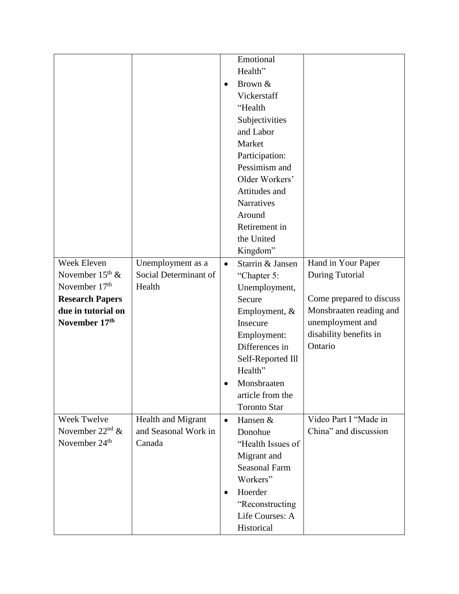|                           |                       |           | Emotional            |                          |
|---------------------------|-----------------------|-----------|----------------------|--------------------------|
|                           |                       |           | Health"              |                          |
|                           |                       | $\bullet$ | Brown &              |                          |
|                           |                       |           | Vickerstaff          |                          |
|                           |                       |           | "Health              |                          |
|                           |                       |           | Subjectivities       |                          |
|                           |                       |           | and Labor            |                          |
|                           |                       |           | Market               |                          |
|                           |                       |           | Participation:       |                          |
|                           |                       |           | Pessimism and        |                          |
|                           |                       |           | Older Workers'       |                          |
|                           |                       |           | Attitudes and        |                          |
|                           |                       |           | <b>Narratives</b>    |                          |
|                           |                       |           | Around               |                          |
|                           |                       |           | Retirement in        |                          |
|                           |                       |           | the United           |                          |
|                           |                       |           | Kingdom"             |                          |
| Week Eleven               | Unemployment as a     | $\bullet$ | Starrin & Jansen     | Hand in Your Paper       |
| November $15^{th}$ &      | Social Determinant of |           | "Chapter 5:          | During Tutorial          |
| November 17 <sup>th</sup> | Health                |           | Unemployment,        |                          |
| <b>Research Papers</b>    |                       |           | Secure               | Come prepared to discuss |
| due in tutorial on        |                       |           | Employment, &        | Monsbraaten reading and  |
| November 17th             |                       |           | Insecure             | unemployment and         |
|                           |                       |           | Employment:          | disability benefits in   |
|                           |                       |           | Differences in       | Ontario                  |
|                           |                       |           | Self-Reported Ill    |                          |
|                           |                       |           | Health"              |                          |
|                           |                       | $\bullet$ | Monsbraaten          |                          |
|                           |                       |           | article from the     |                          |
|                           |                       |           | <b>Toronto Star</b>  |                          |
| Week Twelve               | Health and Migrant    | $\bullet$ | Hansen &             | Video Part I "Made in    |
| November $22nd$ &         | and Seasonal Work in  |           | Donohue              | China" and discussion    |
| November 24 <sup>th</sup> | Canada                |           | "Health Issues of    |                          |
|                           |                       |           | Migrant and          |                          |
|                           |                       |           | <b>Seasonal Farm</b> |                          |
|                           |                       |           | Workers"             |                          |
|                           |                       | $\bullet$ | Hoerder              |                          |
|                           |                       |           | "Reconstructing      |                          |
|                           |                       |           | Life Courses: A      |                          |
|                           |                       |           | Historical           |                          |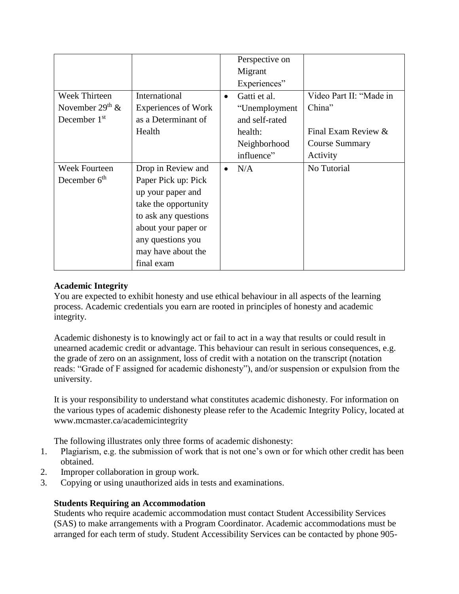|                      |                            |           | Perspective on |                         |
|----------------------|----------------------------|-----------|----------------|-------------------------|
|                      |                            |           | Migrant        |                         |
|                      |                            |           | Experiences"   |                         |
| <b>Week Thirteen</b> | International              | $\bullet$ | Gatti et al.   | Video Part II: "Made in |
| November $29th$ &    | <b>Experiences of Work</b> |           | "Unemployment  | China"                  |
| December 1st         | as a Determinant of        |           | and self-rated |                         |
|                      | Health                     |           | health:        | Final Exam Review &     |
|                      |                            |           | Neighborhood   | <b>Course Summary</b>   |
|                      |                            |           | influence"     | Activity                |
| Week Fourteen        | Drop in Review and         | $\bullet$ | N/A            | No Tutorial             |
| December $6th$       | Paper Pick up: Pick        |           |                |                         |
|                      | up your paper and          |           |                |                         |
|                      | take the opportunity       |           |                |                         |
|                      | to ask any questions       |           |                |                         |
|                      | about your paper or        |           |                |                         |
|                      | any questions you          |           |                |                         |
|                      | may have about the         |           |                |                         |
|                      | final exam                 |           |                |                         |

# **Academic Integrity**

You are expected to exhibit honesty and use ethical behaviour in all aspects of the learning process. Academic credentials you earn are rooted in principles of honesty and academic integrity.

Academic dishonesty is to knowingly act or fail to act in a way that results or could result in unearned academic credit or advantage. This behaviour can result in serious consequences, e.g. the grade of zero on an assignment, loss of credit with a notation on the transcript (notation reads: "Grade of F assigned for academic dishonesty"), and/or suspension or expulsion from the university.

It is your responsibility to understand what constitutes academic dishonesty. For information on the various types of academic dishonesty please refer to the Academic Integrity Policy, located at www.mcmaster.ca/academicintegrity

The following illustrates only three forms of academic dishonesty:

- 1. Plagiarism, e.g. the submission of work that is not one's own or for which other credit has been obtained.
- 2. Improper collaboration in group work.
- 3. Copying or using unauthorized aids in tests and examinations.

## **Students Requiring an Accommodation**

Students who require academic accommodation must contact Student Accessibility Services (SAS) to make arrangements with a Program Coordinator. Academic accommodations must be arranged for each term of study. Student Accessibility Services can be contacted by phone 905